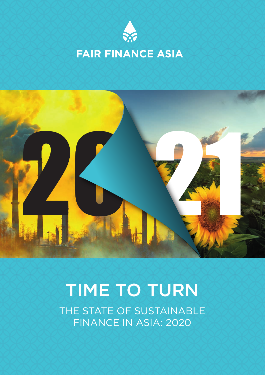



# TIME TO TURN

THE STATE OF SUSTAINABLE FINANCE IN ASIA: 2020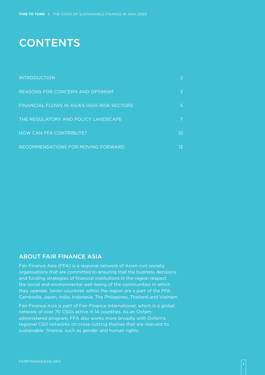## **CONTENTS**

| <b>INTRODUCTION</b>                         |    |
|---------------------------------------------|----|
| <b>REASONS FOR CONCERN AND OPTIMISM</b>     | 3  |
| FINANCIAL FLOWS IN ASIA'S HIGH-RISK SECTORS | 5  |
| THE REGULATORY AND POLICY LANDSCAPE         |    |
| HOW CAN FFA CONTRIBUTE?                     | 10 |
| RECOMMENDATIONS FOR MOVING FORWARD          | 13 |

#### ABOUT FAIR FINANCE ASIA

Fair Finance Asia (FFA) is a regional network of Asian civil society organisations that are committed to ensuring that the business decisions and funding strategies of financial institutions in the region respect the social and environmental well-being of the communities in which they operate. Seven countries within the region are a part of the FFA: Cambodia, Japan, India, Indonesia, The Philippines, Thailand and Vietnam.

Fair Finance Asia is part of Fair Finance International, which is a global network of over 70 CSOs active in 14 countries. As an Oxfamadministered program, FFA also works more broadly with Oxfam's regional CSO networks on cross-cutting themes that are relevant to sustainable finance, such as gender and human rights.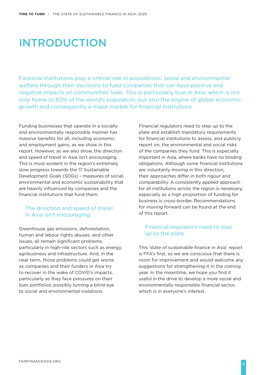## INTRODUCTION

Financial institutions play a critical role in populations' social and environmental welfare through their decisions to fund companies that can have positive and negative impacts on communities' lives. This is particularly true in Asia, which is not only home to 60% of the world's population, but also the engine of global economic growth and consequently a major market for financial institutions.

Funding businesses that operate in a socially and environmentally responsible manner has massive benefits for all, including economic and employment gains, as we show in this report. However, as we also show, the direction and speed of travel in Asia isn't encouraging. This is most evident in the region's extremely slow progress towards the 17 Sustainable Development Goals (SDGs) – measures of social, environmental and economic sustainability that are heavily influenced by companies and the financial institutions that fund them.

#### The direction and speed of travel in Asia isn't encouraging.

Greenhouse gas emissions, deforestation, human and labour rights abuses, and other issues, all remain significant problems, particularly in high-risk sectors such as energy, agribusiness and infrastructure. And, in the near term, those problems could get worse as companies and their funders in Asia try to recover in the wake of COVID's impacts, particularly as they face pressures on their loan portfolios, possibly turning a blind eye to social and environmental violations.

Financial regulators need to step up to the plate and establish mandatory requirements for financial institutions to assess, and publicly report on, the environmental and social risks of the companies they fund. This is especially important in Asia, where banks have no binding obligations. Although some financial institutions are voluntarily moving in this direction, their approaches differ in both rigour and comparability. A consistently applied approach for all institutions across the region is necessary, especially as a high proportion of funding for business is cross-border. Recommendations for moving forward can be found at the end of this report.

#### Financial regulators need to step up to the plate.

This 'state of sustainable finance in Asia' report is FFA's first, so we are conscious that there is room for improvement and would welcome any suggestions for strengthening it in the coming year. In the meantime, we hope you find it useful in the drive to develop a more social and environmentally responsible financial sector, which is in everyone's interest.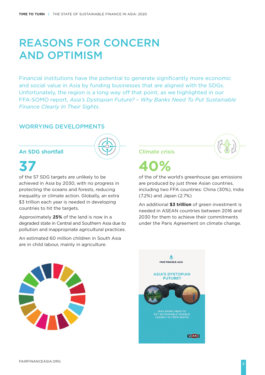## REASONS FOR CONCERN AND OPTIMISM

Financial institutions have the potential to generate significantly more economic and social value in Asia by funding businesses that are aligned with the SDGs. Unfortunately, the region is a long way off that point, as we highlighted in our FFA-SOMO report, *Asia's Dystopian Future? – Why Banks Need To Put Sustainable Finance Clearly In Their Sights*.

#### WORRYING DEVELOPMENTS

#### An SDG shortfall



# **37**

of the 57 SDG targets are unlikely to be achieved in Asia by 2030, with no progress in protecting the oceans and forests, reducing inequality or climate action. Globally, an extra \$3 trillion each year is needed in developing countries to hit the targets.

Approximately **25%** of the land is now in a degraded state in Central and Southern Asia due to pollution and inappropriate agricultural practices.

An estimated 60 million children in South Asia are in child labour, mainly in agriculture.

Climate crisis



**40%**

of the of the world's greenhouse gas emissions are produced by just three Asian countries, including two FFA countries: China (30%), India (7.2%) and Japan (2.7%)

An additional **\$3 trillion** of green investment is needed in ASEAN countries between 2016 and 2030 for them to achieve their commitments under the Paris Agreement on climate change.



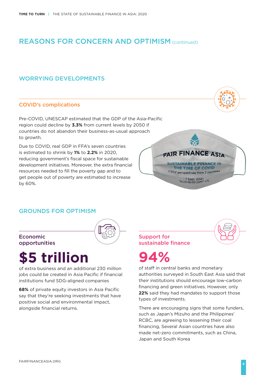## REASONS FOR CONCERN AND OPTIMISM (continued)

#### WORRYING DEVELOPMENTS

#### COVID's complications

Pre-COVID, UNESCAP estimated that the GDP of the Asia-Pacific region could decline by **3.3%** from current levels by 2050 if countries do not abandon their business-as-usual approach to growth.

Due to COVID, real GDP in FFA's seven countries is estimated to shrink by **1%** to **2.2%** in 2020, reducing government's fiscal space for sustainable development initiatives. Moreover, the extra financial resources needed to fill the poverty gap and to get people out of poverty are estimated to increase by 60%.



#### GROUNDS FOR OPTIMISM



# **\$5 trillion**

of extra business and an additional 230 million jobs could be created in Asia Pacific if financial institutions fund SDG-aligned companies

**68%** of private equity investors in Asia Pacific say that they're seeking investments that have positive social and environmental impact, alongside financial returns.

Support for sustainable finance

# **94%**

of staff in central banks and monetary authorities surveyed in South East Asia said that their institutions should encourage low-carbon financing and green initiatives. However, only **22%** said they had mandates to support those types of investments.

There are encouraging signs that some funders, such as Japan's Mizuho and the Philippines' RCBC, are agreeing to lessening their coal financing, Several Asian countries have also made net-zero commitments, such as China, Japan and South Korea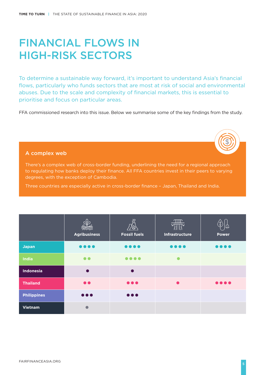## FINANCIAL FLOWS IN HIGH-RISK SECTORS

To determine a sustainable way forward, it's important to understand Asia's financial flows, particularly who funds sectors that are most at risk of social and environmental abuses. Due to the scale and complexity of financial markets, this is essential to prioritise and focus on particular areas.

FFA commissioned research into this issue. Below we summarise some of the key findings from the study.

#### A complex web

There's a complex web of cross-border funding, underlining the need for a regional approach to regulating how banks deploy their finance. All FFA countries invest in their peers to varying degrees, with the exception of Cambodia.

Three countries are especially active in cross-border finance – Japan, Thailand and India.

|                    | <b>Agribusiness</b>            | <u>SS</u><br>⁄⊗`<br><b>Fossil fuels</b> | $\tau_{\rm IIP}$<br>$\sqrt{2\pi}$<br>Infrastructure | <b>Power</b>                                                           |
|--------------------|--------------------------------|-----------------------------------------|-----------------------------------------------------|------------------------------------------------------------------------|
| <b>Japan</b>       | $\bullet\bullet\bullet\bullet$ | $\bullet\bullet\bullet\bullet$          | $\bullet\bullet\bullet\bullet$                      | $\bullet\bullet\bullet\bullet$                                         |
| <b>India</b>       |                                | $\bullet\bullet\bullet\bullet$          |                                                     |                                                                        |
| Indonesia          | $\bullet$                      | $\bullet$                               |                                                     |                                                                        |
| <b>Thailand</b>    | $\bullet$                      | $\bullet\bullet\bullet$                 | $\bullet$                                           | $\begin{array}{ccc} \bullet & \bullet & \bullet & \bullet \end{array}$ |
| <b>Philippines</b> | $\bullet\bullet\bullet$        | $\bullet\bullet\bullet$                 |                                                     |                                                                        |
| <b>Vietnam</b>     | $\bullet$                      |                                         |                                                     |                                                                        |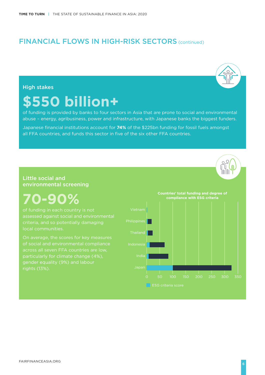### FINANCIAL FLOWS IN HIGH-RISK SECTORS (continued)

#### High stakes

# **\$550 billion+**

of funding is provided by banks to four sectors in Asia that are prone to social and environmental abuse – energy, agribusiness, power and infrastructure, with Japanese banks the biggest funders.

Japanese financial institutions account for **74%** of the \$225bn funding for fossil fuels amongst all FFA countries, and funds this sector in five of the six other FFA countries.

#### Little social and environmental screening

# **70-90%**

assessed against social and environmental criteria, and so potentially damaging local communities.

On average, the scores for key measures of social and environmental compliance particularly for climate change (4%), rights (13%).

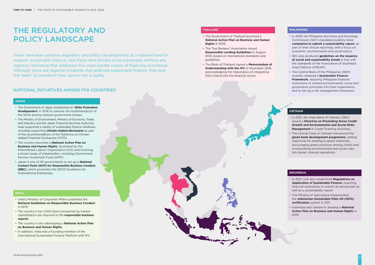## THE REGULATORY AND POLICY LANDSCAPE

#### NATIONAL INITIATIVES AMONG FFA COUNTRIES

#### **JAPAN**

- The Government of Japan established an '**SDGs Promotion Headquarters**' in 2016 to oversee the implementation of the SDGs among relevant government bodies.
- The Ministry of Environment, Ministry of Economy, Trade, and Industry, and the Japan Financial Services Authority, have supported a variety of sustainable finance initiatives, including supporting **climate-related disclosures** as part of the recommendations of the Taskforce on Climaterelated Financial Disclosures (TCFD).
- The country launched a **National Action Plan on Business and Human Rights**, facilitated by the International Labour Organization (ILO) and involving a broad range of stakeholders, including Government Pension Investment Fund (GPIF).
- Japan is one of 49 governments to set up a **National Contact Point (NCP) for Responsible Business Conduct (RBC)**, which promotes the OECD Guidelines for Multinational Enterprises.

#### **INDIA**

- India's Ministry of Corporate Affairs published the **National Guidelines on Responsible Business Conduct** in 2019.
- The country's top 1,000 listed companies by market capitalization are required to file **responsible business reports**.
- The country is also developing a **National Action Plan on Business and Human Rights**.
- In addition, India was a founding member of the International Sustainable Finance Platform with IFC.

There have been positive regulatory and policy developments at a national level to support 'sustainable finance', but these have tended to be piecemeal, without any regional coherence that addresses the cross-border nature of financing businesses. Although there are regional initiatives that promote sustainable finance, they lack the 'teeth' to transform their advice into a reality.

#### **THAILAND**

- The Government of Thailand launched a **National Action Plan on Business and Human Rights** in 2019.
- The Thai Bankers' Association issued **Responsible Lending Guidelines** in August 2019, based on international standards and guidelines.
- The Bank of Thailand signed a **Memorandum of Understanding with the IFC** in November 2019, acknowledging the importance of integrating ESG criteria into the financial sector.

#### **PHILIPPINES**

- In 2019, the Philippine Securities and Exchange Commission (SEC) mandated publicly listed **companies to submit a sustainability report**, as part of their annual reporting, with a focus on economic, environmental and social topics.
- SEC also produced **guidelines on the issuance of social and sustainability bonds** in line with the standards of the Association of Southeast Asian Nations (ASEAN).
- The Central Bank of the Philippines (BSP) recently released a **Sustainable Finance Framework**, requiring Philippine financial institutions to embed environmental, social and governance principles into their organisation, and to set up a risk management framework.

#### **VIETNAM**

- In 2015, the State Bank of Vietnam (SBV) issued a **Directive on Promoting Green Credit Growth and Environmental and Social Risks Management** in Credit Granting Activities.
- The Central Cank of Vietnam introduced the **green bank development programme**, setting objectives for lending to green industries, encouraging green practices among clients and incorporating environmental and social risks into banks' internal regulations.

#### **INDONESIA**

- In 2017, OJK also established **Regulations on Application of Sustainable Finance**, requiring financial institutions to submit an annual plan as well as a sustainability report.
- The Ministry of Agriculture implemented the **Indonesian Sustainable Palm Oil (ISPO) certification** system in 2011.
- Indonesia also started to develop a **National Action Plan on Business and Human Rights** in 2019.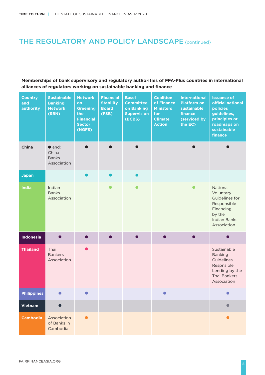## THE REGULATORY AND POLICY LANDSCAPE (continued)

#### **Memberships of bank supervisory and regulatory authorities of FFA-Plus countries in international alliances of regulators working on sustainable banking and finance**

| <b>Country</b><br>and<br>authority | <b>Sustainable</b><br><b>Banking</b><br><b>Network</b><br>(SBN) | <b>Network</b><br>on<br><b>Greening</b><br>the<br><b>Financial</b><br><b>Sector</b><br>(NGFS) | <b>Financial</b><br><b>Stability</b><br><b>Board</b><br>(FSB) | <b>Basel</b><br><b>Committee</b><br>on Banking<br><b>Supervision</b><br>(BCBS) | <b>Coalition</b><br>of Finance<br><b>Ministers</b><br>for<br><b>Climate</b><br><b>Action</b> | <b>International</b><br><b>Platform on</b><br>sustainable<br>finance<br>(serviced by<br>the EC) | <b>Issuance of</b><br>official national<br>policies<br>guidelines,<br>principles or<br>roadmaps on<br>sustainable<br>finance |
|------------------------------------|-----------------------------------------------------------------|-----------------------------------------------------------------------------------------------|---------------------------------------------------------------|--------------------------------------------------------------------------------|----------------------------------------------------------------------------------------------|-------------------------------------------------------------------------------------------------|------------------------------------------------------------------------------------------------------------------------------|
| <b>China</b>                       | $\bullet$ and:<br>China<br><b>Banks</b><br>Association          | ●                                                                                             |                                                               |                                                                                |                                                                                              | $\bullet$                                                                                       |                                                                                                                              |
| <b>Japan</b>                       |                                                                 |                                                                                               |                                                               |                                                                                |                                                                                              |                                                                                                 |                                                                                                                              |
| <b>India</b>                       | Indian<br><b>Banks</b><br>Association                           |                                                                                               |                                                               |                                                                                |                                                                                              | $\bullet$                                                                                       | National<br>Voluntary<br>Guidelines for<br>Responsible<br>Financing<br>by the<br><b>Indian Banks</b><br>Association          |
| Indonesia                          |                                                                 |                                                                                               |                                                               |                                                                                |                                                                                              |                                                                                                 |                                                                                                                              |
| <b>Thailand</b>                    | Thai<br><b>Bankers</b><br>Association                           | ●                                                                                             |                                                               |                                                                                |                                                                                              |                                                                                                 | Sustainable<br><b>Banking</b><br>Guidelines<br>Respnsible<br>Lending by the<br>Thai Bankers<br>Association                   |
| <b>Philippines</b>                 |                                                                 |                                                                                               |                                                               |                                                                                |                                                                                              |                                                                                                 |                                                                                                                              |
| <b>Vietnam</b>                     | $\bullet$                                                       |                                                                                               |                                                               |                                                                                |                                                                                              |                                                                                                 |                                                                                                                              |
| <b>Cambodia</b>                    | Association<br>of Banks in<br>Cambodia                          |                                                                                               |                                                               |                                                                                |                                                                                              |                                                                                                 |                                                                                                                              |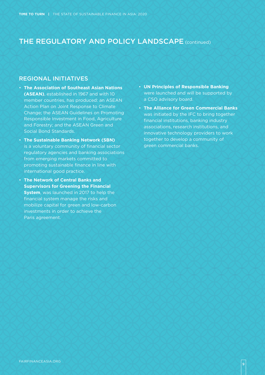### THE REGULATORY AND POLICY LANDSCAPE (continued)

#### REGIONAL INITIATIVES

- **The Association of Southeast Asian Nations (ASEAN)**, established in 1967 and with 10 member countries, has produced: an ASEAN Action Plan on Joint Response to Climate Change; the ASEAN Guidelines on Promoting Responsible Investment in Food, Agriculture and Forestry; and the ASEAN Green and Social Bond Standards.
- **The Sustainable Banking Network (SBN)** is a voluntary community of financial sector regulatory agencies and banking associations from emerging markets committed to promoting sustainable finance in line with international good practice.
- **The Network of Central Banks and Supervisors for Greening the Financial System**, was launched in 2017 to help the financial system manage the risks and mobilize capital for green and low-carbon investments in order to achieve the Paris agreement.
- **UN Principles of Responsible Banking** were launched and will be supported by a CSO advisory board.
- **The Alliance for Green Commercial Banks** was initiated by the IFC to bring together financial institutions, banking industry associations, research institutions, and innovative technology providers to work together to develop a community of green commercial banks.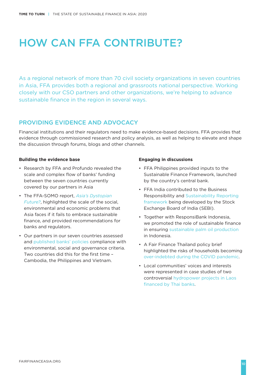# HOW CAN FFA CONTRIBUTE?

As a regional network of more than 70 civil society organizations in seven countries in Asia, FFA provides both a regional and grassroots national perspective. Working closely with our CSO partners and other organizations, we're helping to advance sustainable finance in the region in several ways.

#### PROVIDING EVIDENCE AND ADVOCACY

Financial institutions and their regulators need to make evidence-based decisions. FFA provides that evidence through commissioned research and policy analysis, as well as helping to elevate and shape the discussion through forums, blogs and other channels.

#### **Building the evidence base**

- Research by FFA and Profundo revealed the scale and complex flow of banks' funding between the seven countries currently covered by our partners in Asia
- The FFA-SOMO report, *Asia's Dystopian Future?*, highlighted the scale of the social, [environmental and economic problems that](https://fairfinanceasia.org/us/post/asia%E2%80%99s-dystopian-future)  Asia faces if it fails to embrace sustainable finance, and provided recommendations for banks and regulators.
- [Our partners in our seven countries assessed](https://fairfinanceasia.org/us/country-averages#what-are-the-9-esg-criteria/109)  and published banks' policies compliance with environmental, social and governance criteria. Two countries did this for the first time – Cambodia, the Philippines and Vietnam.

#### **Engaging in discussions**

- FFA Philippines provided inputs to the Sustainable Finance Framework, launched by the country's central bank.
- FFA India contributed to the Business [Responsibility and Sustainability Reporting](https://fairfinanceindia.org/bank-guide/media/2020/comments-submitted-to-the-mca-on-the-new-business-responsibility-and-sustainability-reporting/)  framework being developed by the Stock Exchange Board of India (SEBI).
- Together with ResponsiBank Indonesia, [we promoted the role of sustainable finance](https://fairfinanceasia.org/us/post/ensuring-responsible-palm-oil-production-in-indonesia-by-focusing-on-sustainable-finance)  in ensuring sustainable palm oil production in Indonesia.
- A Fair Finance Thailand policy brief [highlighted the risks of households becoming](https://fairfinanceasia.org/us/post/policy-brief-the-risk-of-over-indebtedness-amid-covid-19-pandemic)  over-indebted during the COVID pandemic.
- Local communities' voices and interests were represented in case studies of two [controversial hydropower projects in Laos](https://fairfinanceasia.org/us/post/challenges-of-dam-financing-for-thai-banks-the-case-of-xayaburi-and-xpxn-projects)  financed by Thai banks.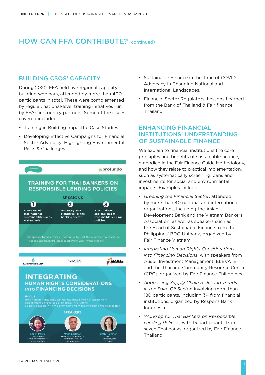### HOW CAN FFA CONTRIBUTE? (continued)

#### BUILDING CSOS' CAPACITY

During 2020, FFA held five regional capacitybuilding webinars, attended by more than 400 participants in total. These were complemented by regular, national-level training initiatives run by FFA's in-country partners. Some of the issues covered included:

- Training in Building Impactful Case Studies.
- Developing Effective Campaigns for Financial Sector Advocacy: Highlighting Environmental Risks & Challenges.

| FairFinance <sup>.</sup>                                             |                                                                                                                                                                                                                                                                                              | <b>sprofundo</b>                                                          |
|----------------------------------------------------------------------|----------------------------------------------------------------------------------------------------------------------------------------------------------------------------------------------------------------------------------------------------------------------------------------------|---------------------------------------------------------------------------|
|                                                                      | <b>TRAINING FOR THAI BANKERS ON</b><br><b>RESPONSIBLE LENDING POLICIES</b>                                                                                                                                                                                                                   |                                                                           |
|                                                                      | <b>SESSIONS</b>                                                                                                                                                                                                                                                                              |                                                                           |
|                                                                      |                                                                                                                                                                                                                                                                                              |                                                                           |
| Overview of<br>international<br>sustainability issues<br>& standards | <b>Voluntary ESG</b><br>standards for the<br>banking sector                                                                                                                                                                                                                                  | <b>How to develop</b><br>and implement<br>responsible lending<br>policies |
|                                                                      | 15 representatives from 7 Thai banks (out of the nine that Fair Finance<br>Thailand assesses the policies of every year) were present                                                                                                                                                        |                                                                           |
| <b>FAIR FINANCE ASIA</b>                                             | <b>CSRASIA</b>                                                                                                                                                                                                                                                                               | <b>DEALS.</b>                                                             |
| <b>INTEGRATING</b><br><b>FOCUS:</b>                                  | <b>HUMAN RIGHTS CONSIDERATIONS</b><br><b>INTO FINANCING DECISIONS</b><br>How human rights risks can be integrated into risk assessment<br>Due diligence processes of financial institutions<br>55 participation, with majority being from the Philippine financial sector<br><b>SPEAKERS</b> |                                                                           |

- Sustainable Finance in the Time of COVID: Advocacy in Changing National and International Landscapes.
- Financial Sector Regulators: Lessons Learned from the Bank of Thailand & Fair finance Thailand.

#### ENHANCING FINANCIAL INSTITUTIONS' UNDERSTANDING OF SUSTAINABLE FINANCE

We explain to financial institutions the core principles and benefits of sustainable finance, embodied in the Fair Finance Guide Methodology, and how they relate to practical implementation, such as systematically screening loans and investments for social and environmental impacts. Examples include:

- *Greening the Financial Sector*, attended by more than 40 national and international organizations, including the Asian Development Bank and the Vietnam Bankers Association, as well as speakers such as the Head of Sustainable Finance from the Philippines' BDO Unibank, organized by Fair Finance Vietnam.
- *Integrating Human Rights Considerations into Financing Decisions*, with speakers from Ausbil Investment Management, ELEVATE and the Thailand Community Resource Centre (CRC), organized by Fair Finance Philippines.
- *Addressing Supply Chain Risks and Trends in the Palm Oil Sector*, involving more than 180 participants, including 34 from financial institutions, organized by ResponsiBank Indonesia.
- *Worksop for Thai Bankers on Responsible Lending Policies*, with 15 participants from seven Thai banks, organized by Fair Finance Thailand.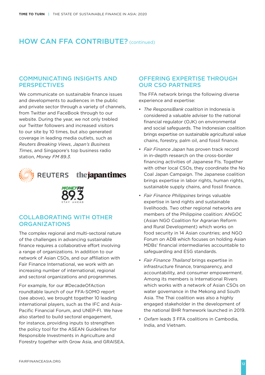### HOW CAN FFA CONTRIBUTE? (continued)

#### COMMUNICATING INSIGHTS AND **PERSPECTIVES**

We communicate on sustainable finance issues and developments to audiences in the public and private sector through a variety of channels, from Twitter and FaceBook through to our website. During the year, we not only trebled our Twitter followers and increased visitors to our site by 10 times, but also generated coverage in leading media outlets, such as *Reuters Breaking Views*, *Japan's Business Times*, and Singapore's top business radio station, *Money FM 89.3*.



#### the japan times **REUTERS**



#### COLLABORATING WITH OTHER **ORGANIZATIONS**

The complex regional and multi-sectoral nature of the challenges in advancing sustainable finance requires a collaborative effort involving a range of organizations. In addition to our network of Asian CSOs, and our affiliation with Fair Finance International, we work with an increasing number of international, regional and sectoral organizations and programmes.

For example, for our #DecadeOfAction roundtable launch of our FFA-SOMO report (see above), we brought together 10 leading international players, such as the IFC and Asia-Pacific Financial Forum, and UNEP-FI. We have also started to build sectoral engagement, for instance, providing inputs to strengthen the policy tool for the ASEAN Guidelines for Responsible Investments in Agriculture and Forestry together with Grow Asia, and GRAISEA.

#### OFFERING EXPERTISE THROUGH OUR CSO PARTNERS

The FFA network brings the following diverse experience and expertise:

- *The ResponsiBank coalition* in Indonesia is considered a valuable adviser to the national financial regulator (OJK) on environmental and social safeguards. The Indonesian coalition brings expertise on sustainable agricultural value chains, forestry, palm oil, and fossil finance.
- *Fair Finance Japan* has proven track record in in-depth research on the cross-border financing activities of Japanese FIs. Together with other local CSOs, they coordinate the No Coal Japan Campaign. The Japanese coalition brings expertise in labor rights, human rights, sustainable supply chains, and fossil finance.
- *Fair Finance Philippines* brings valuable expertise in land rights and sustainable livelihoods. Two other regional networks are members of the Philippine coalition: ANGOC (Asian NGO Coalition for Agrarian Reform and Rural Development) which works on food security in 14 Asian countries; and NGO Forum on ADB which focuses on holding Asian MDBs' financial intermediaries accountable to safeguarding and ESG standards.
- *Fair Finance Thailand* brings expertise in infrastructure finance, transparency, and accountability, and consumer empowerment. Among its members is International Rivers which works with a network of Asian CSOs on water governance in the Mekong and South Asia. The Thai coalition was also a highly engaged stakeholder in the development of the national BHR framework launched in 2019.
- *Oxfam* leads 3 FFA coalitions in Cambodia, India, and Vietnam.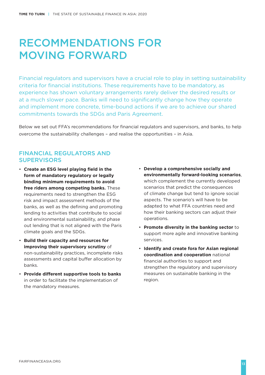## RECOMMENDATIONS FOR MOVING FORWARD

Financial regulators and supervisors have a crucial role to play in setting sustainability criteria for financial institutions. These requirements have to be mandatory, as experience has shown voluntary arrangements rarely deliver the desired results or at a much slower pace. Banks will need to significantly change how they operate and implement more concrete, time-bound actions if we are to achieve our shared commitments towards the SDGs and Paris Agreement.

Below we set out FFA's recommendations for financial regulators and supervisors, and banks, to help overcome the sustainability challenges – and realise the opportunities – in Asia.

#### FINANCIAL REGULATORS AND **SUPERVISORS**

- **Create an ESG level playing field in the form of mandatory regulatory or legally binding minimum requirements to avoid free riders among competing banks.** These requirements need to strengthen the ESG risk and impact assessment methods of the banks, as well as the defining and promoting lending to activities that contribute to social and environmental sustainability, and phase out lending that is not aligned with the Paris climate goals and the SDGs.
- **Build their capacity and resources for improving their supervisory scrutiny** of non-sustainability practices, incomplete risks assessments and capital buffer allocation by banks.
- **Provide different supportive tools to banks** in order to facilitate the implementation of the mandatory measures.
- **Develop a comprehensive socially and environmentally forward-looking scenarios**, which complement the currently developed scenarios that predict the consequences of climate change but tend to ignore social aspects. The scenario's will have to be adapted to what FFA countries need and how their banking sectors can adjust their operations.
- **Promote diversity in the banking sector** to support more agile and innovative banking services.
- **Identify and create fora for Asian regional coordination and cooperation** national financial authorities to support and strengthen the regulatory and supervisory measures on sustainable banking in the region.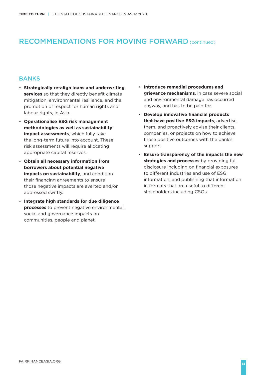### RECOMMENDATIONS FOR MOVING FORWARD (continued)

#### **BANKS**

- **Strategically re-align loans and underwriting services** so that they directly benefit climate mitigation, environmental resilience, and the promotion of respect for human rights and labour rights, in Asia.
- **Operationalise ESG risk management methodologies as well as sustainability impact assessments**, which fully take the long-term future into account. These risk assessments will require allocating appropriate capital reserves.
- **Obtain all necessary information from borrowers about potential negative impacts on sustainability**, and condition their financing agreements to ensure those negative impacts are averted and/or addressed swiftly.
- **Integrate high standards for due diligence processes** to prevent negative environmental. social and governance impacts on communities, people and planet.
- **Introduce remedial procedures and grievance mechanisms**, in case severe social and environmental damage has occurred anyway, and has to be paid for.
- **Develop innovative financial products that have positive ESG impacts**, advertise them, and proactively advise their clients, companies, or projects on how to achieve those positive outcomes with the bank's support.
- **Ensure transparency of the impacts the new strategies and processes** by providing full disclosure including on financial exposures to different industries and use of ESG information, and publishing that information in formats that are useful to different stakeholders including CSOs.